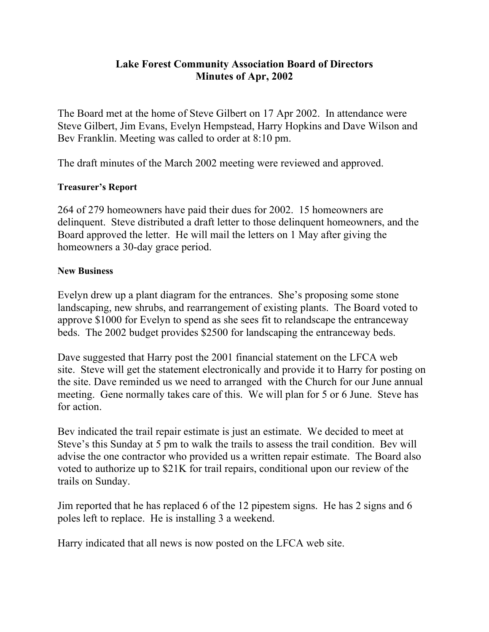## **Lake Forest Community Association Board of Directors Minutes of Apr, 2002**

The Board met at the home of Steve Gilbert on 17 Apr 2002. In attendance were Steve Gilbert, Jim Evans, Evelyn Hempstead, Harry Hopkins and Dave Wilson and Bev Franklin. Meeting was called to order at 8:10 pm.

The draft minutes of the March 2002 meeting were reviewed and approved.

## **Treasurer's Report**

264 of 279 homeowners have paid their dues for 2002. 15 homeowners are delinquent. Steve distributed a draft letter to those delinquent homeowners, and the Board approved the letter. He will mail the letters on 1 May after giving the homeowners a 30-day grace period.

## **New Business**

Evelyn drew up a plant diagram for the entrances. She's proposing some stone landscaping, new shrubs, and rearrangement of existing plants. The Board voted to approve \$1000 for Evelyn to spend as she sees fit to relandscape the entranceway beds. The 2002 budget provides \$2500 for landscaping the entranceway beds.

Dave suggested that Harry post the 2001 financial statement on the LFCA web site. Steve will get the statement electronically and provide it to Harry for posting on the site. Dave reminded us we need to arranged with the Church for our June annual meeting. Gene normally takes care of this. We will plan for 5 or 6 June. Steve has for action.

Bev indicated the trail repair estimate is just an estimate. We decided to meet at Steve's this Sunday at 5 pm to walk the trails to assess the trail condition. Bev will advise the one contractor who provided us a written repair estimate. The Board also voted to authorize up to \$21K for trail repairs, conditional upon our review of the trails on Sunday.

Jim reported that he has replaced 6 of the 12 pipestem signs. He has 2 signs and 6 poles left to replace. He is installing 3 a weekend.

Harry indicated that all news is now posted on the LFCA web site.